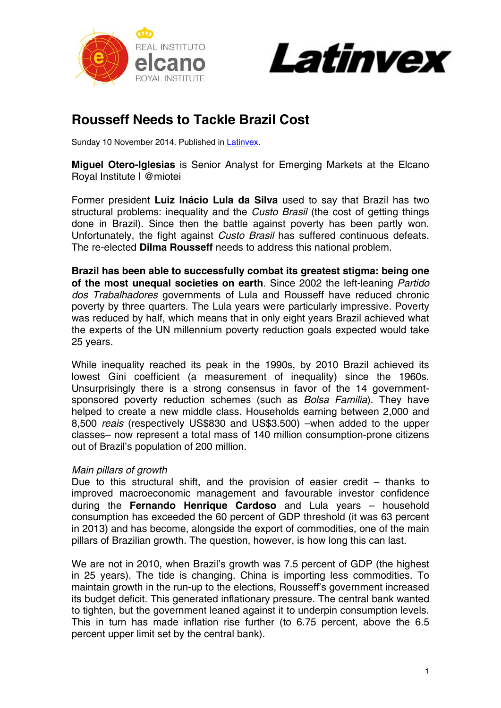



## **Rousseff Needs to Tackle Brazil Cost**

Sunday 10 November 2014. Published in Latinvex.

**Miguel Otero-Iglesias** is Senior Analyst for Emerging Markets at the Elcano Royal Institute | @miotei

Former president **Luiz Inácio Lula da Silva** used to say that Brazil has two structural problems: inequality and the *Custo Brasil* (the cost of getting things done in Brazil). Since then the battle against poverty has been partly won. Unfortunately, the fight against *Custo Brasil* has suffered continuous defeats. The re-elected **Dilma Rousseff** needs to address this national problem.

**Brazil has been able to successfully combat its greatest stigma: being one of the most unequal societies on earth**. Since 2002 the left-leaning *Partido dos Trabalhadores* governments of Lula and Rousseff have reduced chronic poverty by three quarters. The Lula years were particularly impressive. Poverty was reduced by half, which means that in only eight years Brazil achieved what the experts of the UN millennium poverty reduction goals expected would take 25 years.

While inequality reached its peak in the 1990s, by 2010 Brazil achieved its lowest Gini coefficient (a measurement of inequality) since the 1960s. Unsurprisingly there is a strong consensus in favor of the 14 governmentsponsored poverty reduction schemes (such as *Bolsa Familia*). They have helped to create a new middle class. Households earning between 2,000 and 8,500 *reais* (respectively US\$830 and US\$3.500) –when added to the upper classes– now represent a total mass of 140 million consumption-prone citizens out of Brazil's population of 200 million.

## *Main pillars of growth*

Due to this structural shift, and the provision of easier credit – thanks to improved macroeconomic management and favourable investor confidence during the **Fernando Henrique Cardoso** and Lula years – household consumption has exceeded the 60 percent of GDP threshold (it was 63 percent in 2013) and has become, alongside the export of commodities, one of the main pillars of Brazilian growth. The question, however, is how long this can last.

We are not in 2010, when Brazil's growth was 7.5 percent of GDP (the highest in 25 years). The tide is changing. China is importing less commodities. To maintain growth in the run-up to the elections, Rousseff's government increased its budget deficit. This generated inflationary pressure. The central bank wanted to tighten, but the government leaned against it to underpin consumption levels. This in turn has made inflation rise further (to 6.75 percent, above the 6.5 percent upper limit set by the central bank).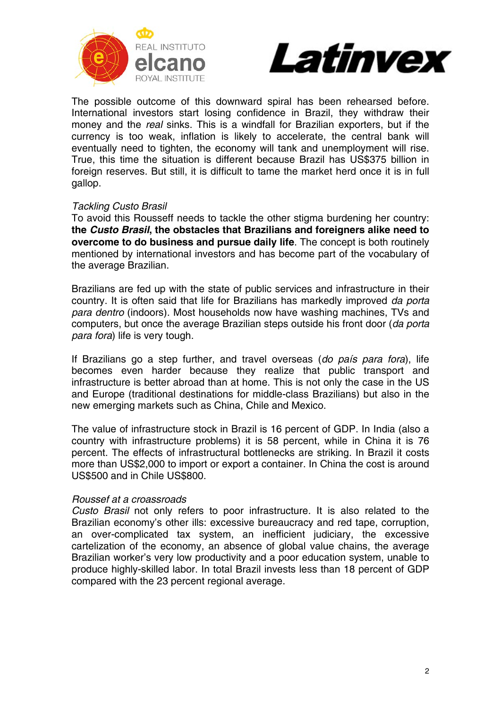



The possible outcome of this downward spiral has been rehearsed before. International investors start losing confidence in Brazil, they withdraw their money and the *real* sinks. This is a windfall for Brazilian exporters, but if the currency is too weak, inflation is likely to accelerate, the central bank will eventually need to tighten, the economy will tank and unemployment will rise. True, this time the situation is different because Brazil has US\$375 billion in foreign reserves. But still, it is difficult to tame the market herd once it is in full gallop.

## *Tackling Custo Brasil*

To avoid this Rousseff needs to tackle the other stigma burdening her country: **the** *Custo Brasil***, the obstacles that Brazilians and foreigners alike need to overcome to do business and pursue daily life**. The concept is both routinely mentioned by international investors and has become part of the vocabulary of the average Brazilian.

Brazilians are fed up with the state of public services and infrastructure in their country. It is often said that life for Brazilians has markedly improved *da porta para dentro* (indoors). Most households now have washing machines, TVs and computers, but once the average Brazilian steps outside his front door (*da porta para fora*) life is very tough.

If Brazilians go a step further, and travel overseas (*do país para fora*), life becomes even harder because they realize that public transport and infrastructure is better abroad than at home. This is not only the case in the US and Europe (traditional destinations for middle-class Brazilians) but also in the new emerging markets such as China, Chile and Mexico.

The value of infrastructure stock in Brazil is 16 percent of GDP. In India (also a country with infrastructure problems) it is 58 percent, while in China it is 76 percent. The effects of infrastructural bottlenecks are striking. In Brazil it costs more than US\$2,000 to import or export a container. In China the cost is around US\$500 and in Chile US\$800.

## *Roussef at a croassroads*

*Custo Brasil* not only refers to poor infrastructure. It is also related to the Brazilian economy's other ills: excessive bureaucracy and red tape, corruption, an over-complicated tax system, an inefficient judiciary, the excessive cartelization of the economy, an absence of global value chains, the average Brazilian worker's very low productivity and a poor education system, unable to produce highly-skilled labor. In total Brazil invests less than 18 percent of GDP compared with the 23 percent regional average.